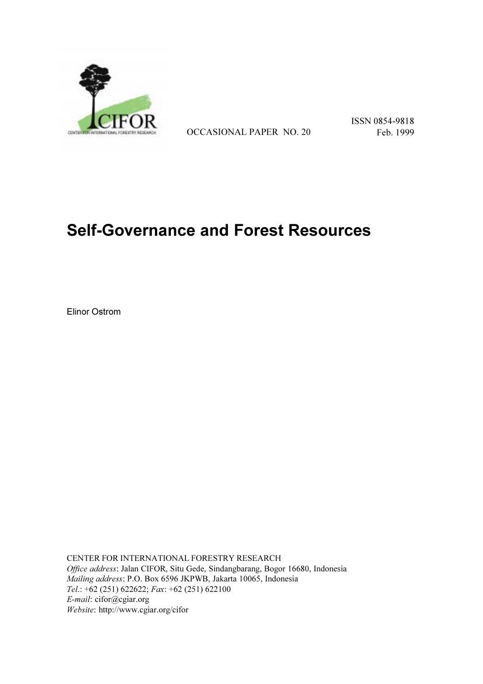

OCCASIONAL PAPER NO. 20 Feb. 1999

ISSN 0854-9818

# **Self-Governance and Forest Resources**

Elinor Ostrom

CENTER FOR INTERNATIONAL FORESTRY RESEARCH *Office address*: Jalan CIFOR, Situ Gede, Sindangbarang, Bogor 16680, Indonesia *Mailing address*: P.O. Box 6596 JKPWB, Jakarta 10065, Indonesia *Tel*.: +62 (251) 622622; *Fax*: +62 (251) 622100 *E-mail*: cifor@cgiar.org *Website*: http://www.cgiar.org/cifor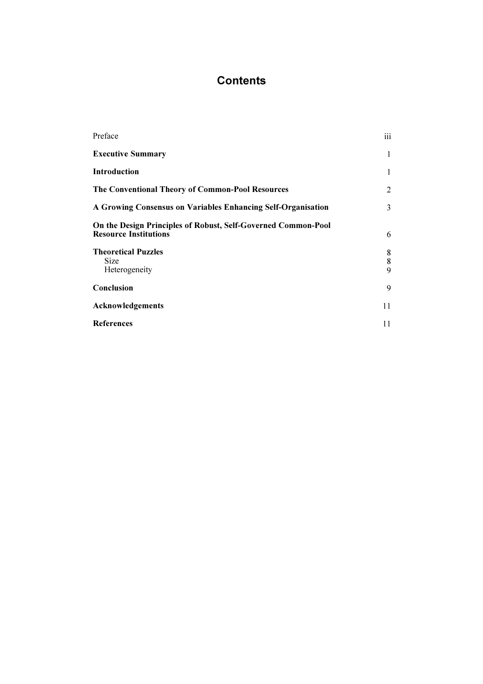# **Contents**

| iii               |
|-------------------|
| 1                 |
| 1                 |
| 2                 |
| 3                 |
| 6                 |
| 8<br>$\bf 8$<br>9 |
| 9                 |
| 11                |
| 11                |
|                   |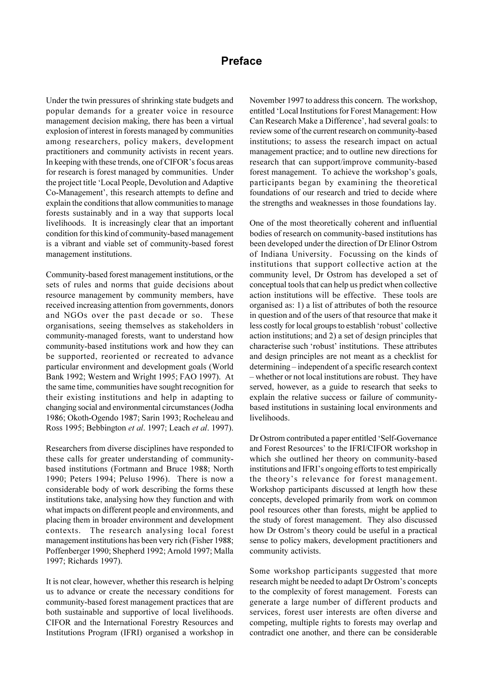# **Preface**

Under the twin pressures of shrinking state budgets and popular demands for a greater voice in resource management decision making, there has been a virtual explosion of interest in forests managed by communities among researchers, policy makers, development practitioners and community activists in recent years. In keeping with these trends, one of CIFOR's focus areas for research is forest managed by communities. Under the project title 'Local People, Devolution and Adaptive Co-Management', this research attempts to define and explain the conditions that allow communities to manage forests sustainably and in a way that supports local livelihoods. It is increasingly clear that an important condition for this kind of community-based management is a vibrant and viable set of community-based forest management institutions.

Community-based forest management institutions, or the sets of rules and norms that guide decisions about resource management by community members, have received increasing attention from governments, donors and NGOs over the past decade or so. These organisations, seeing themselves as stakeholders in community-managed forests, want to understand how community-based institutions work and how they can be supported, reoriented or recreated to advance particular environment and development goals (World Bank 1992; Western and Wright 1995; FAO 1997). At the same time, communities have sought recognition for their existing institutions and help in adapting to changing social and environmental circumstances (Jodha 1986; Okoth-Ogendo 1987; Sarin 1993; Rocheleau and Ross 1995; Bebbington *et al*. 1997; Leach *et al*. 1997).

Researchers from diverse disciplines have responded to these calls for greater understanding of communitybased institutions (Fortmann and Bruce 1988; North 1990; Peters 1994; Peluso 1996). There is now a considerable body of work describing the forms these institutions take, analysing how they function and with what impacts on different people and environments, and placing them in broader environment and development contexts. The research analysing local forest management institutions has been very rich (Fisher 1988; Poffenberger 1990; Shepherd 1992; Arnold 1997; Malla 1997; Richards 1997).

It is not clear, however, whether this research is helping us to advance or create the necessary conditions for community-based forest management practices that are both sustainable and supportive of local livelihoods. CIFOR and the International Forestry Resources and Institutions Program (IFRI) organised a workshop in

November 1997 to address this concern. The workshop, entitled 'Local Institutions for Forest Management: How Can Research Make a Difference', had several goals: to review some of the current research on community-based institutions; to assess the research impact on actual management practice; and to outline new directions for research that can support/improve community-based forest management. To achieve the workshop's goals, participants began by examining the theoretical foundations of our research and tried to decide where the strengths and weaknesses in those foundations lay.

One of the most theoretically coherent and influential bodies of research on community-based institutions has been developed under the direction of Dr Elinor Ostrom of Indiana University. Focussing on the kinds of institutions that support collective action at the community level, Dr Ostrom has developed a set of conceptual tools that can help us predict when collective action institutions will be effective. These tools are organised as: 1) a list of attributes of both the resource in question and of the users of that resource that make it less costly for local groups to establish 'robust' collective action institutions; and 2) a set of design principles that characterise such 'robust' institutions. These attributes and design principles are not meant as a checklist for determining – independent of a specific research context - whether or not local institutions are robust. They have served, however, as a guide to research that seeks to explain the relative success or failure of communitybased institutions in sustaining local environments and livelihoods.

Dr Ostrom contributed a paper entitled 'Self-Governance' and Forest Resources' to the IFRI/CIFOR workshop in which she outlined her theory on community-based institutions and IFRI's ongoing efforts to test empirically the theory's relevance for forest management. Workshop participants discussed at length how these concepts, developed primarily from work on common pool resources other than forests, might be applied to the study of forest management. They also discussed how Dr Ostrom's theory could be useful in a practical sense to policy makers, development practitioners and community activists.

Some workshop participants suggested that more research might be needed to adapt Dr Ostrom's concepts to the complexity of forest management. Forests can generate a large number of different products and services, forest user interests are often diverse and competing, multiple rights to forests may overlap and contradict one another, and there can be considerable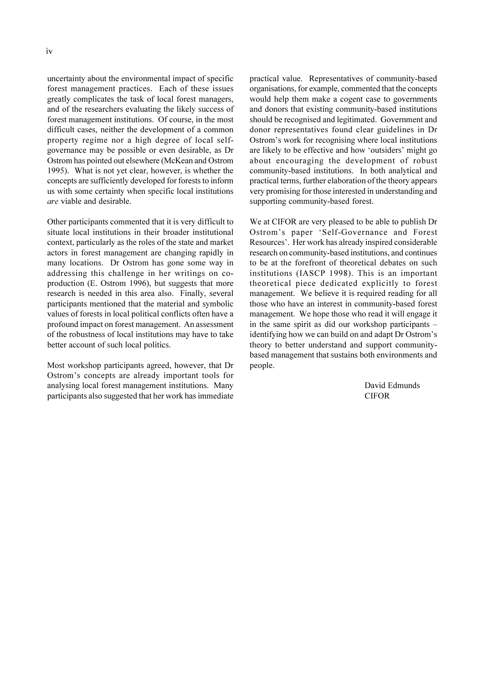uncertainty about the environmental impact of specific forest management practices. Each of these issues greatly complicates the task of local forest managers, and of the researchers evaluating the likely success of forest management institutions. Of course, in the most difficult cases, neither the development of a common property regime nor a high degree of local selfgovernance may be possible or even desirable, as Dr Ostrom has pointed out elsewhere (McKean and Ostrom 1995). What is not yet clear, however, is whether the concepts are sufficiently developed for forests to inform us with some certainty when specific local institutions *are* viable and desirable.

Other participants commented that it is very difficult to situate local institutions in their broader institutional context, particularly as the roles of the state and market actors in forest management are changing rapidly in many locations. Dr Ostrom has gone some way in addressing this challenge in her writings on coproduction (E. Ostrom 1996), but suggests that more research is needed in this area also. Finally, several participants mentioned that the material and symbolic values of forests in local political conflicts often have a profound impact on forest management. An assessment of the robustness of local institutions may have to take better account of such local politics.

Most workshop participants agreed, however, that Dr Ostrom's concepts are already important tools for analysing local forest management institutions. Many participants also suggested that her work has immediate

practical value. Representatives of community-based organisations, for example, commented that the concepts would help them make a cogent case to governments and donors that existing community-based institutions should be recognised and legitimated. Government and donor representatives found clear guidelines in Dr Ostrom's work for recognising where local institutions are likely to be effective and how 'outsiders' might go about encouraging the development of robust community-based institutions. In both analytical and practical terms, further elaboration of the theory appears very promising for those interested in understanding and supporting community-based forest.

We at CIFOR are very pleased to be able to publish Dr Ostrom's paper 'Self-Governance and Forest Resources'. Her work has already inspired considerable research on community-based institutions, and continues to be at the forefront of theoretical debates on such institutions (IASCP 1998). This is an important theoretical piece dedicated explicitly to forest management. We believe it is required reading for all those who have an interest in community-based forest management. We hope those who read it will engage it in the same spirit as did our workshop participants identifying how we can build on and adapt Dr Ostrom's theory to better understand and support communitybased management that sustains both environments and people.

> David Edmunds CIFOR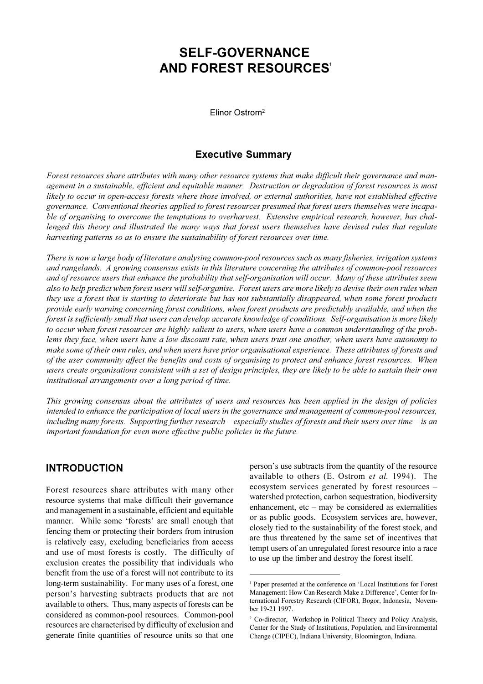# **SELF-GOVERNANCE AND FOREST RESOURCES** 1

Elinor Ostrom<sup>2</sup>

#### **Executive Summary**

*Forest resources share attributes with many other resource systems that make difficult their governance and management in a sustainable, efficient and equitable manner. Destruction or degradation of forest resources is most likely to occur in open-access forests where those involved, or external authorities, have not established effective governance. Conventional theories applied to forest resources presumed that forest users themselves were incapable of organising to overcome the temptations to overharvest. Extensive empirical research, however, has challenged this theory and illustrated the many ways that forest users themselves have devised rules that regulate harvesting patterns so as to ensure the sustainability of forest resources over time.*

*There is now a large body of literature analysing common-pool resources such as many fisheries, irrigation systems and rangelands. A growing consensus exists in this literature concerning the attributes of common-pool resources and of resource users that enhance the probability that self-organisation will occur. Many of these attributes seem also to help predict when forest users will self-organise. Forest users are more likely to devise their own rules when they use a forest that is starting to deteriorate but has not substantially disappeared, when some forest products provide early warning concerning forest conditions, when forest products are predictably available, and when the forest is sufficiently small that users can develop accurate knowledge of conditions. Self-organisation is more likely to occur when forest resources are highly salient to users, when users have a common understanding of the problems they face, when users have a low discount rate, when users trust one another, when users have autonomy to make some of their own rules, and when users have prior organisational experience. These attributes of forests and of the user community affect the benefits and costs of organising to protect and enhance forest resources. When users create organisations consistent with a set of design principles, they are likely to be able to sustain their own institutional arrangements over a long period of time.*

*This growing consensus about the attributes of users and resources has been applied in the design of policies intended to enhance the participation of local users in the governance and management of common-pool resources,* including many forests. Supporting further research – especially studies of forests and their users over time – is an *important foundation for even more effective public policies in the future.*

# **INTRODUCTION**

Forest resources share attributes with many other resource systems that make difficult their governance and management in a sustainable, efficient and equitable manner. While some 'forests' are small enough that fencing them or protecting their borders from intrusion is relatively easy, excluding beneficiaries from access and use of most forests is costly. The difficulty of exclusion creates the possibility that individuals who benefit from the use of a forest will not contribute to its long-term sustainability. For many uses of a forest, one person's harvesting subtracts products that are not available to others. Thus, many aspects of forests can be considered as common-pool resources. Common-pool resources are characterised by difficulty of exclusion and generate finite quantities of resource units so that one

person's use subtracts from the quantity of the resource available to others (E. Ostrom *et al.* 1994). The ecosystem services generated by forest resources watershed protection, carbon sequestration, biodiversity enhancement, etc  $-$  may be considered as externalities or as public goods. Ecosystem services are, however, closely tied to the sustainability of the forest stock, and are thus threatened by the same set of incentives that tempt users of an unregulated forest resource into a race to use up the timber and destroy the forest itself.

<sup>&</sup>lt;sup>1</sup> Paper presented at the conference on 'Local Institutions for Forest Management: How Can Research Make a Difference', Center for International Forestry Research (CIFOR), Bogor, Indonesia, November 19-21 1997.

<sup>2</sup> Co-director, Workshop in Political Theory and Policy Analysis, Center for the Study of Institutions, Population, and Environmental Change (CIPEC), Indiana University, Bloomington, Indiana.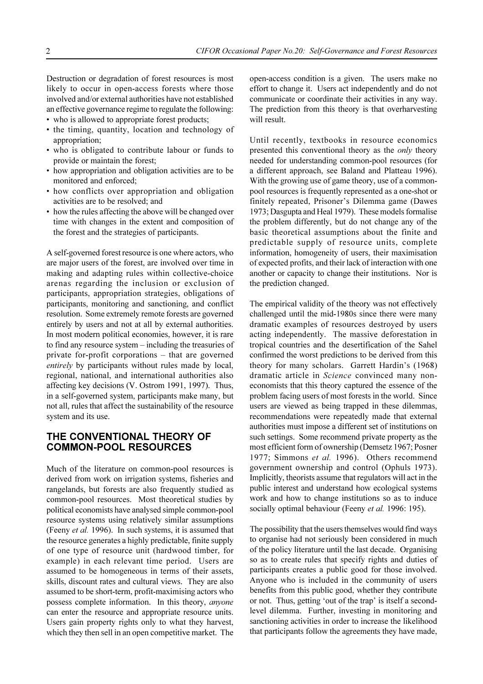Destruction or degradation of forest resources is most likely to occur in open-access forests where those involved and/or external authorities have not established an effective governance regime to regulate the following:

- who is allowed to appropriate forest products;
- the timing, quantity, location and technology of appropriation;
- who is obligated to contribute labour or funds to provide or maintain the forest;
- how appropriation and obligation activities are to be monitored and enforced;
- how conflicts over appropriation and obligation activities are to be resolved; and
- how the rules affecting the above will be changed over time with changes in the extent and composition of the forest and the strategies of participants.

A self-governed forest resource is one where actors, who are major users of the forest, are involved over time in making and adapting rules within collective-choice arenas regarding the inclusion or exclusion of participants, appropriation strategies, obligations of participants, monitoring and sanctioning, and conflict resolution. Some extremely remote forests are governed entirely by users and not at all by external authorities. In most modern political economies, however, it is rare to find any resource system – including the treasuries of private for-profit corporations  $-$  that are governed *entirely* by participants without rules made by local, regional, national, and international authorities also affecting key decisions (V. Ostrom 1991, 1997). Thus, in a self-governed system, participants make many, but not all, rules that affect the sustainability of the resource system and its use.

# **THE CONVENTIONAL THEORY OF COMMON-POOL RESOURCES**

Much of the literature on common-pool resources is derived from work on irrigation systems, fisheries and rangelands, but forests are also frequently studied as common-pool resources. Most theoretical studies by political economists have analysed simple common-pool resource systems using relatively similar assumptions (Feeny *et al.* 1996). In such systems, it is assumed that the resource generates a highly predictable, finite supply of one type of resource unit (hardwood timber, for example) in each relevant time period. Users are assumed to be homogeneous in terms of their assets, skills, discount rates and cultural views. They are also assumed to be short-term, profit-maximising actors who possess complete information. In this theory, *anyone* can enter the resource and appropriate resource units. Users gain property rights only to what they harvest, which they then sell in an open competitive market. The

open-access condition is a given. The users make no effort to change it. Users act independently and do not communicate or coordinate their activities in any way. The prediction from this theory is that overharvesting will result.

Until recently, textbooks in resource economics presented this conventional theory as the *only* theory needed for understanding common-pool resources (for a different approach, see Baland and Platteau 1996). With the growing use of game theory, use of a commonpool resources is frequently represented as a one-shot or finitely repeated, Prisoner's Dilemma game (Dawes 1973; Dasgupta and Heal 1979). These models formalise the problem differently, but do not change any of the basic theoretical assumptions about the finite and predictable supply of resource units, complete information, homogeneity of users, their maximisation of expected profits, and their lack of interaction with one another or capacity to change their institutions. Nor is the prediction changed.

The empirical validity of the theory was not effectively challenged until the mid-1980s since there were many dramatic examples of resources destroyed by users acting independently. The massive deforestation in tropical countries and the desertification of the Sahel confirmed the worst predictions to be derived from this theory for many scholars. Garrett Hardin's (1968) dramatic article in *Science* convinced many noneconomists that this theory captured the essence of the problem facing users of most forests in the world. Since users are viewed as being trapped in these dilemmas, recommendations were repeatedly made that external authorities must impose a different set of institutions on such settings. Some recommend private property as the most efficient form of ownership (Demsetz 1967; Posner 1977; Simmons *et al.* 1996). Others recommend government ownership and control (Ophuls 1973). Implicitly, theorists assume that regulators will act in the public interest and understand how ecological systems work and how to change institutions so as to induce socially optimal behaviour (Feeny *et al.* 1996: 195).

The possibility that the users themselves would find ways to organise had not seriously been considered in much of the policy literature until the last decade. Organising so as to create rules that specify rights and duties of participants creates a public good for those involved. Anyone who is included in the community of users benefits from this public good, whether they contribute or not. Thus, getting 'out of the trap' is itself a secondlevel dilemma. Further, investing in monitoring and sanctioning activities in order to increase the likelihood that participants follow the agreements they have made,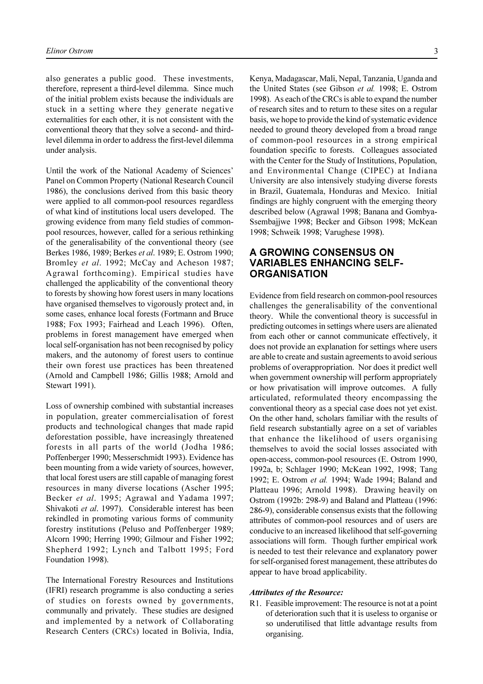also generates a public good. These investments, therefore, represent a third-level dilemma. Since much of the initial problem exists because the individuals are stuck in a setting where they generate negative externalities for each other, it is not consistent with the conventional theory that they solve a second- and thirdlevel dilemma in order to address the first-level dilemma under analysis.

Until the work of the National Academy of Sciences Panel on Common Property (National Research Council 1986), the conclusions derived from this basic theory were applied to all common-pool resources regardless of what kind of institutions local users developed. The growing evidence from many field studies of commonpool resources, however, called for a serious rethinking of the generalisability of the conventional theory (see Berkes 1986, 1989; Berkes *et al*. 1989; E. Ostrom 1990; Bromley *et al*. 1992; McCay and Acheson 1987; Agrawal forthcoming). Empirical studies have challenged the applicability of the conventional theory to forests by showing how forest users in many locations have organised themselves to vigorously protect and, in some cases, enhance local forests (Fortmann and Bruce 1988; Fox 1993; Fairhead and Leach 1996). Often, problems in forest management have emerged when local self-organisation has not been recognised by policy makers, and the autonomy of forest users to continue their own forest use practices has been threatened (Arnold and Campbell 1986; Gillis 1988; Arnold and Stewart 1991).

Loss of ownership combined with substantial increases in population, greater commercialisation of forest products and technological changes that made rapid deforestation possible, have increasingly threatened forests in all parts of the world (Jodha 1986; Poffenberger 1990; Messerschmidt 1993). Evidence has been mounting from a wide variety of sources, however, that local forest users are still capable of managing forest resources in many diverse locations (Ascher 1995; Becker *et al*. 1995; Agrawal and Yadama 1997; Shivakoti *et al*. 1997). Considerable interest has been rekindled in promoting various forms of community forestry institutions (Peluso and Poffenberger 1989; Alcorn 1990; Herring 1990; Gilmour and Fisher 1992; Shepherd 1992; Lynch and Talbott 1995; Ford Foundation 1998).

The International Forestry Resources and Institutions (IFRI) research programme is also conducting a series of studies on forests owned by governments, communally and privately. These studies are designed and implemented by a network of Collaborating Research Centers (CRCs) located in Bolivia, India,

Kenya, Madagascar, Mali, Nepal, Tanzania, Uganda and the United States (see Gibson *et al.* 1998; E. Ostrom 1998). As each of the CRCs is able to expand the number of research sites and to return to these sites on a regular basis, we hope to provide the kind of systematic evidence needed to ground theory developed from a broad range of common-pool resources in a strong empirical foundation specific to forests. Colleagues associated with the Center for the Study of Institutions, Population, and Environmental Change (CIPEC) at Indiana University are also intensively studying diverse forests in Brazil, Guatemala, Honduras and Mexico. Initial findings are highly congruent with the emerging theory described below (Agrawal 1998; Banana and Gombya-Ssembajjwe 1998; Becker and Gibson 1998; McKean 1998; Schweik 1998; Varughese 1998).

# **A GROWING CONSENSUS ON VARIABLES ENHANCING SELF-ORGANISATION**

Evidence from field research on common-pool resources challenges the generalisability of the conventional theory. While the conventional theory is successful in predicting outcomes in settings where users are alienated from each other or cannot communicate effectively, it does not provide an explanation for settings where users are able to create and sustain agreements to avoid serious problems of overappropriation. Nor does it predict well when government ownership will perform appropriately or how privatisation will improve outcomes. A fully articulated, reformulated theory encompassing the conventional theory as a special case does not yet exist. On the other hand, scholars familiar with the results of field research substantially agree on a set of variables that enhance the likelihood of users organising themselves to avoid the social losses associated with open-access, common-pool resources (E. Ostrom 1990, 1992a, b; Schlager 1990; McKean 1992, 1998; Tang 1992; E. Ostrom *et al.* 1994; Wade 1994; Baland and Platteau 1996; Arnold 1998). Drawing heavily on Ostrom (1992b: 298-9) and Baland and Platteau (1996: 286-9), considerable consensus exists that the following attributes of common-pool resources and of users are conducive to an increased likelihood that self-governing associations will form. Though further empirical work is needed to test their relevance and explanatory power for self-organised forest management, these attributes do appear to have broad applicability.

#### *Attributes of the Resource:*

R1. Feasible improvement: The resource is not at a point of deterioration such that it is useless to organise or so underutilised that little advantage results from organising.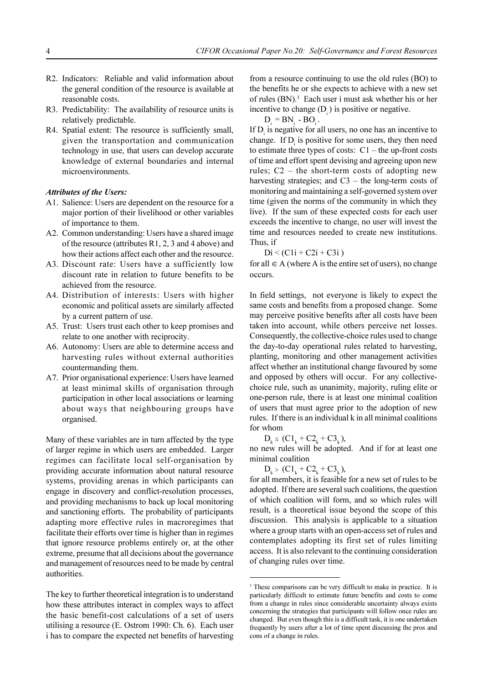- R2. Indicators: Reliable and valid information about the general condition of the resource is available at reasonable costs.
- R3. Predictability: The availability of resource units is relatively predictable.
- R4. Spatial extent: The resource is sufficiently small, given the transportation and communication technology in use, that users can develop accurate knowledge of external boundaries and internal microenvironments.

#### *Attributes of the Users:*

- A1. Salience: Users are dependent on the resource for a major portion of their livelihood or other variables of importance to them.
- A2. Common understanding: Users have a shared image of the resource (attributes R1, 2, 3 and 4 above) and how their actions affect each other and the resource.
- A3. Discount rate: Users have a sufficiently low discount rate in relation to future benefits to be achieved from the resource.
- A4. Distribution of interests: Users with higher economic and political assets are similarly affected by a current pattern of use.
- A5. Trust: Users trust each other to keep promises and relate to one another with reciprocity.
- A6. Autonomy: Users are able to determine access and harvesting rules without external authorities countermanding them.
- A7. Prior organisational experience: Users have learned at least minimal skills of organisation through participation in other local associations or learning about ways that neighbouring groups have organised.

Many of these variables are in turn affected by the type of larger regime in which users are embedded. Larger regimes can facilitate local self-organisation by providing accurate information about natural resource systems, providing arenas in which participants can engage in discovery and conflict-resolution processes, and providing mechanisms to back up local monitoring and sanctioning efforts. The probability of participants adapting more effective rules in macroregimes that facilitate their efforts over time is higher than in regimes that ignore resource problems entirely or, at the other extreme, presume that all decisions about the governance and management of resources need to be made by central authorities.

The key to further theoretical integration is to understand how these attributes interact in complex ways to affect the basic benefit-cost calculations of a set of users utilising a resource (E. Ostrom 1990: Ch. 6). Each user i has to compare the expected net benefits of harvesting

from a resource continuing to use the old rules (BO) to the benefits he or she expects to achieve with a new set of rules (BN).<sup>3</sup> Each user i must ask whether his or her incentive to change  $(D_i)$  is positive or negative.

 $D_i = BN_i - BO_i$ .

If  $D_i$  is negative for all users, no one has an incentive to change. If  $D_i$  is positive for some users, they then need to estimate three types of costs:  $C1$  – the up-front costs of time and effort spent devising and agreeing upon new rules;  $C2$  – the short-term costs of adopting new harvesting strategies; and  $C3$  – the long-term costs of monitoring and maintaining a self-governed system over time (given the norms of the community in which they live). If the sum of these expected costs for each user exceeds the incentive to change, no user will invest the time and resources needed to create new institutions. Thus, if

 $Di < (C1i + C2i + C3i)$ 

for all  $\in$  A (where A is the entire set of users), no change occurs.

In field settings, not everyone is likely to expect the same costs and benefits from a proposed change. Some may perceive positive benefits after all costs have been taken into account, while others perceive net losses. Consequently, the collective-choice rules used to change the day-to-day operational rules related to harvesting, planting, monitoring and other management activities affect whether an institutional change favoured by some and opposed by others will occur. For any collectivechoice rule, such as unanimity, majority, ruling elite or one-person rule, there is at least one minimal coalition of users that must agree prior to the adoption of new rules. If there is an individual k in all minimal coalitions for whom

 $D_k \leq (C1_k + C2_k + C3_k),$ 

no new rules will be adopted. And if for at least one minimal coalition

 $D_{k}$  > (C1<sub>k</sub> + C2<sub>k</sub> + C3<sub>k</sub>),

for all members, it is feasible for a new set of rules to be adopted. If there are several such coalitions, the question of which coalition will form, and so which rules will result, is a theoretical issue beyond the scope of this discussion. This analysis is applicable to a situation where a group starts with an open-access set of rules and contemplates adopting its first set of rules limiting access. It is also relevant to the continuing consideration of changing rules over time.

<sup>&</sup>lt;sup>3</sup> These comparisons can be very difficult to make in practice. It is particularly difficult to estimate future benefits and costs to come from a change in rules since considerable uncertainty always exists concerning the strategies that participants will follow once rules are changed. But even though this is a difficult task, it is one undertaken frequently by users after a lot of time spent discussing the pros and cons of a change in rules.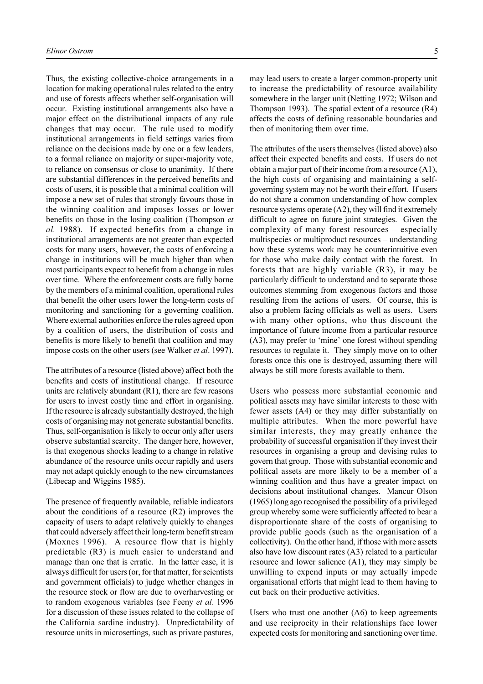Thus, the existing collective-choice arrangements in a location for making operational rules related to the entry and use of forests affects whether self-organisation will occur. Existing institutional arrangements also have a major effect on the distributional impacts of any rule changes that may occur. The rule used to modify institutional arrangements in field settings varies from reliance on the decisions made by one or a few leaders, to a formal reliance on majority or super-majority vote, to reliance on consensus or close to unanimity. If there are substantial differences in the perceived benefits and costs of users, it is possible that a minimal coalition will impose a new set of rules that strongly favours those in the winning coalition and imposes losses or lower benefits on those in the losing coalition (Thompson *et al.* 1988). If expected benefits from a change in institutional arrangements are not greater than expected costs for many users, however, the costs of enforcing a change in institutions will be much higher than when most participants expect to benefit from a change in rules over time. Where the enforcement costs are fully borne by the members of a minimal coalition, operational rules that benefit the other users lower the long-term costs of monitoring and sanctioning for a governing coalition. Where external authorities enforce the rules agreed upon by a coalition of users, the distribution of costs and benefits is more likely to benefit that coalition and may impose costs on the other users (see Walker *et al*. 1997).

The attributes of a resource (listed above) affect both the benefits and costs of institutional change. If resource units are relatively abundant  $(R1)$ , there are few reasons for users to invest costly time and effort in organising. If the resource is already substantially destroyed, the high costs of organising may not generate substantial benefits. Thus, self-organisation is likely to occur only after users observe substantial scarcity. The danger here, however, is that exogenous shocks leading to a change in relative abundance of the resource units occur rapidly and users may not adapt quickly enough to the new circumstances (Libecap and Wiggins 1985).

The presence of frequently available, reliable indicators about the conditions of a resource (R2) improves the capacity of users to adapt relatively quickly to changes that could adversely affect their long-term benefit stream (Moxnes 1996). A resource flow that is highly predictable (R3) is much easier to understand and manage than one that is erratic. In the latter case, it is always difficult for users (or, for that matter, for scientists and government officials) to judge whether changes in the resource stock or flow are due to overharvesting or to random exogenous variables (see Feeny *et al.* 1996 for a discussion of these issues related to the collapse of the California sardine industry). Unpredictability of resource units in microsettings, such as private pastures,

may lead users to create a larger common-property unit to increase the predictability of resource availability somewhere in the larger unit (Netting 1972; Wilson and Thompson 1993). The spatial extent of a resource (R4) affects the costs of defining reasonable boundaries and then of monitoring them over time.

The attributes of the users themselves (listed above) also affect their expected benefits and costs. If users do not obtain a major part of their income from a resource (A1), the high costs of organising and maintaining a selfgoverning system may not be worth their effort. If users do not share a common understanding of how complex resource systems operate (A2), they will find it extremely difficult to agree on future joint strategies. Given the complexity of many forest resources – especially multispecies or multiproduct resources – understanding how these systems work may be counterintuitive even for those who make daily contact with the forest. In forests that are highly variable (R3), it may be particularly difficult to understand and to separate those outcomes stemming from exogenous factors and those resulting from the actions of users. Of course, this is also a problem facing officials as well as users. Users with many other options, who thus discount the importance of future income from a particular resource  $(A3)$ , may prefer to 'mine' one forest without spending resources to regulate it. They simply move on to other forests once this one is destroyed, assuming there will always be still more forests available to them.

Users who possess more substantial economic and political assets may have similar interests to those with fewer assets (A4) or they may differ substantially on multiple attributes. When the more powerful have similar interests, they may greatly enhance the probability of successful organisation if they invest their resources in organising a group and devising rules to govern that group. Those with substantial economic and political assets are more likely to be a member of a winning coalition and thus have a greater impact on decisions about institutional changes. Mancur Olson (1965) long ago recognised the possibility of a privileged group whereby some were sufficiently affected to bear a disproportionate share of the costs of organising to provide public goods (such as the organisation of a collectivity). On the other hand, if those with more assets also have low discount rates (A3) related to a particular resource and lower salience (A1), they may simply be unwilling to expend inputs or may actually impede organisational efforts that might lead to them having to cut back on their productive activities.

Users who trust one another (A6) to keep agreements and use reciprocity in their relationships face lower expected costs for monitoring and sanctioning over time.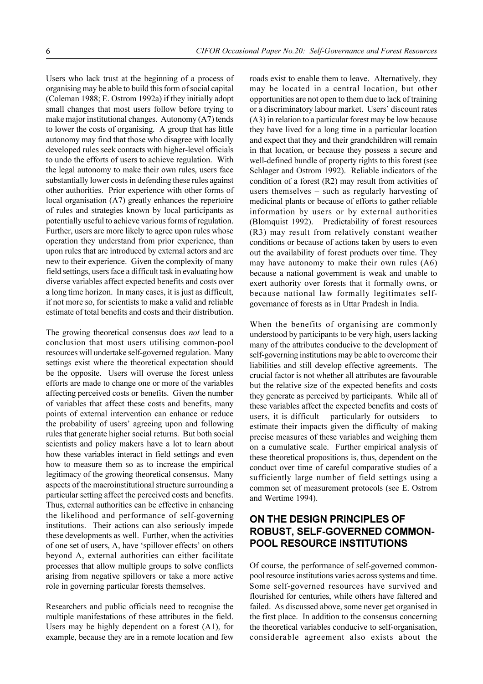Users who lack trust at the beginning of a process of organising may be able to build this form of social capital (Coleman 1988; E. Ostrom 1992a) if they initially adopt small changes that most users follow before trying to make major institutional changes. Autonomy (A7) tends to lower the costs of organising. A group that has little autonomy may find that those who disagree with locally developed rules seek contacts with higher-level officials to undo the efforts of users to achieve regulation. With the legal autonomy to make their own rules, users face substantially lower costs in defending these rules against other authorities. Prior experience with other forms of local organisation (A7) greatly enhances the repertoire of rules and strategies known by local participants as potentially useful to achieve various forms of regulation. Further, users are more likely to agree upon rules whose operation they understand from prior experience, than upon rules that are introduced by external actors and are new to their experience. Given the complexity of many field settings, users face a difficult task in evaluating how diverse variables affect expected benefits and costs over a long time horizon. In many cases, it is just as difficult, if not more so, for scientists to make a valid and reliable estimate of total benefits and costs and their distribution.

The growing theoretical consensus does *not* lead to a conclusion that most users utilising common-pool resources will undertake self-governed regulation. Many settings exist where the theoretical expectation should be the opposite. Users will overuse the forest unless efforts are made to change one or more of the variables affecting perceived costs or benefits. Given the number of variables that affect these costs and benefits, many points of external intervention can enhance or reduce the probability of users' agreeing upon and following rules that generate higher social returns. But both social scientists and policy makers have a lot to learn about how these variables interact in field settings and even how to measure them so as to increase the empirical legitimacy of the growing theoretical consensus. Many aspects of the macroinstitutional structure surrounding a particular setting affect the perceived costs and benefits. Thus, external authorities can be effective in enhancing the likelihood and performance of self-governing institutions. Their actions can also seriously impede these developments as well. Further, when the activities of one set of users, A, have 'spillover effects' on others beyond A, external authorities can either facilitate processes that allow multiple groups to solve conflicts arising from negative spillovers or take a more active role in governing particular forests themselves.

Researchers and public officials need to recognise the multiple manifestations of these attributes in the field. Users may be highly dependent on a forest (A1), for example, because they are in a remote location and few

roads exist to enable them to leave. Alternatively, they may be located in a central location, but other opportunities are not open to them due to lack of training or a discriminatory labour market. Users' discount rates (A3) in relation to a particular forest may be low because they have lived for a long time in a particular location and expect that they and their grandchildren will remain in that location, or because they possess a secure and well-defined bundle of property rights to this forest (see Schlager and Ostrom 1992). Reliable indicators of the condition of a forest (R2) may result from activities of users themselves  $-$  such as regularly harvesting of medicinal plants or because of efforts to gather reliable information by users or by external authorities (Blomquist 1992). Predictability of forest resources (R3) may result from relatively constant weather conditions or because of actions taken by users to even out the availability of forest products over time. They may have autonomy to make their own rules (A6) because a national government is weak and unable to exert authority over forests that it formally owns, or because national law formally legitimates selfgovernance of forests as in Uttar Pradesh in India.

When the benefits of organising are commonly understood by participants to be very high, users lacking many of the attributes conducive to the development of self-governing institutions may be able to overcome their liabilities and still develop effective agreements. The crucial factor is not whether all attributes are favourable but the relative size of the expected benefits and costs they generate as perceived by participants. While all of these variables affect the expected benefits and costs of users, it is difficult  $-$  particularly for outsiders  $-$  to estimate their impacts given the difficulty of making precise measures of these variables and weighing them on a cumulative scale. Further empirical analysis of these theoretical propositions is, thus, dependent on the conduct over time of careful comparative studies of a sufficiently large number of field settings using a common set of measurement protocols (see E. Ostrom and Wertime 1994).

# **ON THE DESIGN PRINCIPLES OF ROBUST, SELF-GOVERNED COMMON-POOL RESOURCE INSTITUTIONS**

Of course, the performance of self-governed commonpool resource institutions varies across systems and time. Some self-governed resources have survived and flourished for centuries, while others have faltered and failed. As discussed above, some never get organised in the first place. In addition to the consensus concerning the theoretical variables conducive to self-organisation, considerable agreement also exists about the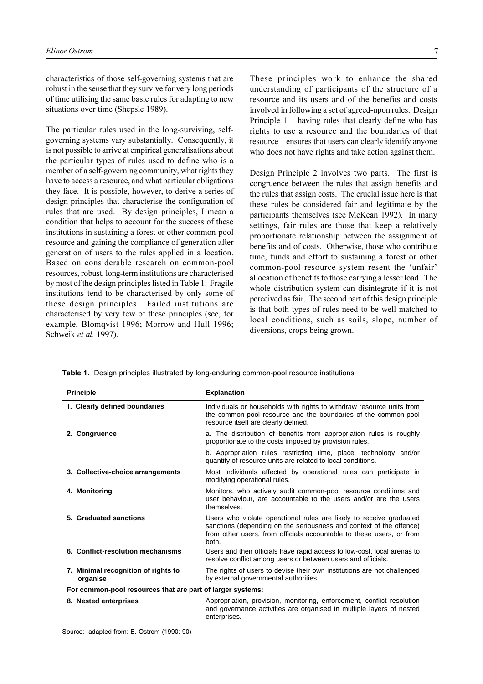characteristics of those self-governing systems that are robust in the sense that they survive for very long periods of time utilising the same basic rules for adapting to new situations over time (Shepsle 1989).

The particular rules used in the long-surviving, selfgoverning systems vary substantially. Consequently, it is not possible to arrive at empirical generalisations about the particular types of rules used to define who is a member of a self-governing community, what rights they have to access a resource, and what particular obligations they face. It is possible, however, to derive a series of design principles that characterise the configuration of rules that are used. By design principles, I mean a condition that helps to account for the success of these institutions in sustaining a forest or other common-pool resource and gaining the compliance of generation after generation of users to the rules applied in a location. Based on considerable research on common-pool resources, robust, long-term institutions are characterised by most of the design principles listed in Table 1. Fragile institutions tend to be characterised by only some of these design principles. Failed institutions are characterised by very few of these principles (see, for example, Blomqvist 1996; Morrow and Hull 1996; Schweik *et al.* 1997).

These principles work to enhance the shared understanding of participants of the structure of a resource and its users and of the benefits and costs involved in following a set of agreed-upon rules. Design Principle  $1 -$  having rules that clearly define who has rights to use a resource and the boundaries of that resource – ensures that users can clearly identify anyone who does not have rights and take action against them.

Design Principle 2 involves two parts. The first is congruence between the rules that assign benefits and the rules that assign costs. The crucial issue here is that these rules be considered fair and legitimate by the participants themselves (see McKean 1992). In many settings, fair rules are those that keep a relatively proportionate relationship between the assignment of benefits and of costs. Otherwise, those who contribute time, funds and effort to sustaining a forest or other common-pool resource system resent the 'unfair' allocation of benefits to those carrying a lesser load. The whole distribution system can disintegrate if it is not perceived as fair. The second part of this design principle is that both types of rules need to be well matched to local conditions, such as soils, slope, number of diversions, crops being grown.

| <b>Principle</b>                                           | <b>Explanation</b>                                                                                                                                                                                                          |
|------------------------------------------------------------|-----------------------------------------------------------------------------------------------------------------------------------------------------------------------------------------------------------------------------|
| 1. Clearly defined boundaries                              | Individuals or households with rights to withdraw resource units from<br>the common-pool resource and the boundaries of the common-pool<br>resource itself are clearly defined.                                             |
| 2. Congruence                                              | a. The distribution of benefits from appropriation rules is roughly<br>proportionate to the costs imposed by provision rules.                                                                                               |
|                                                            | b. Appropriation rules restricting time, place, technology and/or<br>quantity of resource units are related to local conditions.                                                                                            |
| 3. Collective-choice arrangements                          | Most individuals affected by operational rules can participate in<br>modifying operational rules.                                                                                                                           |
| 4. Monitoring                                              | Monitors, who actively audit common-pool resource conditions and<br>user behaviour, are accountable to the users and/or are the users<br>themselves.                                                                        |
| 5. Graduated sanctions                                     | Users who violate operational rules are likely to receive graduated<br>sanctions (depending on the seriousness and context of the offence)<br>from other users, from officials accountable to these users, or from<br>both. |
| 6. Conflict-resolution mechanisms                          | Users and their officials have rapid access to low-cost, local arenas to<br>resolve conflict among users or between users and officials.                                                                                    |
| 7. Minimal recognition of rights to<br>organise            | The rights of users to devise their own institutions are not challenged<br>by external governmental authorities.                                                                                                            |
| For common-pool resources that are part of larger systems: |                                                                                                                                                                                                                             |
| 8. Nested enterprises                                      | Appropriation, provision, monitoring, enforcement, conflict resolution<br>and governance activities are organised in multiple layers of nested<br>enterprises.                                                              |

**Table 1.** Design principles illustrated by long-enduring common-pool resource institutions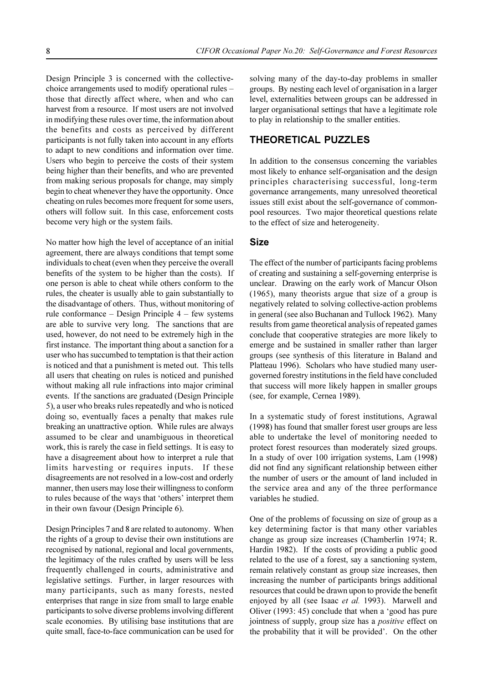Design Principle 3 is concerned with the collectivechoice arrangements used to modify operational rules those that directly affect where, when and who can harvest from a resource. If most users are not involved in modifying these rules over time, the information about the benefits and costs as perceived by different participants is not fully taken into account in any efforts to adapt to new conditions and information over time. Users who begin to perceive the costs of their system being higher than their benefits, and who are prevented from making serious proposals for change, may simply begin to cheat whenever they have the opportunity. Once cheating on rules becomes more frequent for some users, others will follow suit. In this case, enforcement costs become very high or the system fails.

No matter how high the level of acceptance of an initial agreement, there are always conditions that tempt some individuals to cheat (even when they perceive the overall benefits of the system to be higher than the costs). If one person is able to cheat while others conform to the rules, the cheater is usually able to gain substantially to the disadvantage of others. Thus, without monitoring of rule conformance  $-$  Design Principle  $4 - few$  systems are able to survive very long. The sanctions that are used, however, do not need to be extremely high in the first instance. The important thing about a sanction for a user who has succumbed to temptation is that their action is noticed and that a punishment is meted out. This tells all users that cheating on rules is noticed and punished without making all rule infractions into major criminal events. If the sanctions are graduated (Design Principle 5), a user who breaks rules repeatedly and who is noticed doing so, eventually faces a penalty that makes rule breaking an unattractive option. While rules are always assumed to be clear and unambiguous in theoretical work, this is rarely the case in field settings. It is easy to have a disagreement about how to interpret a rule that limits harvesting or requires inputs. If these disagreements are not resolved in a low-cost and orderly manner, then users may lose their willingness to conform to rules because of the ways that 'others' interpret them in their own favour (Design Principle 6).

Design Principles 7 and 8 are related to autonomy. When the rights of a group to devise their own institutions are recognised by national, regional and local governments, the legitimacy of the rules crafted by users will be less frequently challenged in courts, administrative and legislative settings. Further, in larger resources with many participants, such as many forests, nested enterprises that range in size from small to large enable participants to solve diverse problems involving different scale economies. By utilising base institutions that are quite small, face-to-face communication can be used for solving many of the day-to-day problems in smaller groups. By nesting each level of organisation in a larger level, externalities between groups can be addressed in larger organisational settings that have a legitimate role to play in relationship to the smaller entities.

# **THEORETICAL PUZZLES**

In addition to the consensus concerning the variables most likely to enhance self-organisation and the design principles characterising successful, long-term governance arrangements, many unresolved theoretical issues still exist about the self-governance of commonpool resources. Two major theoretical questions relate to the effect of size and heterogeneity.

#### **Size**

The effect of the number of participants facing problems of creating and sustaining a self-governing enterprise is unclear. Drawing on the early work of Mancur Olson (1965), many theorists argue that size of a group is negatively related to solving collective-action problems in general (see also Buchanan and Tullock 1962). Many results from game theoretical analysis of repeated games conclude that cooperative strategies are more likely to emerge and be sustained in smaller rather than larger groups (see synthesis of this literature in Baland and Platteau 1996). Scholars who have studied many usergoverned forestry institutions in the field have concluded that success will more likely happen in smaller groups (see, for example, Cernea 1989).

In a systematic study of forest institutions, Agrawal (1998) has found that smaller forest user groups are less able to undertake the level of monitoring needed to protect forest resources than moderately sized groups. In a study of over 100 irrigation systems, Lam (1998) did not find any significant relationship between either the number of users or the amount of land included in the service area and any of the three performance variables he studied.

One of the problems of focussing on size of group as a key determining factor is that many other variables change as group size increases (Chamberlin 1974; R. Hardin 1982). If the costs of providing a public good related to the use of a forest, say a sanctioning system, remain relatively constant as group size increases, then increasing the number of participants brings additional resources that could be drawn upon to provide the benefit enjoyed by all (see Isaac *et al.* 1993). Marwell and Oliver  $(1993: 45)$  conclude that when a 'good has pure jointness of supply, group size has a *positive* effect on the probability that it will be provided'. On the other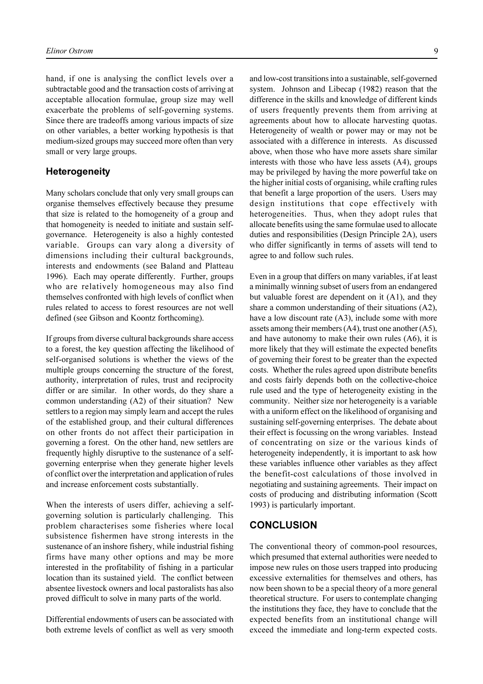hand, if one is analysing the conflict levels over a subtractable good and the transaction costs of arriving at acceptable allocation formulae, group size may well exacerbate the problems of self-governing systems. Since there are tradeoffs among various impacts of size on other variables, a better working hypothesis is that medium-sized groups may succeed more often than very small or very large groups.

#### **Heterogeneity**

Many scholars conclude that only very small groups can organise themselves effectively because they presume that size is related to the homogeneity of a group and that homogeneity is needed to initiate and sustain selfgovernance. Heterogeneity is also a highly contested variable. Groups can vary along a diversity of dimensions including their cultural backgrounds, interests and endowments (see Baland and Platteau 1996). Each may operate differently. Further, groups who are relatively homogeneous may also find themselves confronted with high levels of conflict when rules related to access to forest resources are not well defined (see Gibson and Koontz forthcoming).

If groups from diverse cultural backgrounds share access to a forest, the key question affecting the likelihood of self-organised solutions is whether the views of the multiple groups concerning the structure of the forest, authority, interpretation of rules, trust and reciprocity differ or are similar. In other words, do they share a common understanding (A2) of their situation? New settlers to a region may simply learn and accept the rules of the established group, and their cultural differences on other fronts do not affect their participation in governing a forest. On the other hand, new settlers are frequently highly disruptive to the sustenance of a selfgoverning enterprise when they generate higher levels of conflict over the interpretation and application of rules and increase enforcement costs substantially.

When the interests of users differ, achieving a selfgoverning solution is particularly challenging. This problem characterises some fisheries where local subsistence fishermen have strong interests in the sustenance of an inshore fishery, while industrial fishing firms have many other options and may be more interested in the profitability of fishing in a particular location than its sustained yield. The conflict between absentee livestock owners and local pastoralists has also proved difficult to solve in many parts of the world.

Differential endowments of users can be associated with both extreme levels of conflict as well as very smooth and low-cost transitions into a sustainable, self-governed system. Johnson and Libecap (1982) reason that the difference in the skills and knowledge of different kinds of users frequently prevents them from arriving at agreements about how to allocate harvesting quotas. Heterogeneity of wealth or power may or may not be associated with a difference in interests. As discussed above, when those who have more assets share similar interests with those who have less assets (A4), groups may be privileged by having the more powerful take on the higher initial costs of organising, while crafting rules that benefit a large proportion of the users. Users may design institutions that cope effectively with heterogeneities. Thus, when they adopt rules that allocate benefits using the same formulae used to allocate duties and responsibilities (Design Principle 2A), users who differ significantly in terms of assets will tend to agree to and follow such rules.

Even in a group that differs on many variables, if at least a minimally winning subset of users from an endangered but valuable forest are dependent on it (A1), and they share a common understanding of their situations (A2), have a low discount rate (A3), include some with more assets among their members (A4), trust one another (A5), and have autonomy to make their own rules (A6), it is more likely that they will estimate the expected benefits of governing their forest to be greater than the expected costs. Whether the rules agreed upon distribute benefits and costs fairly depends both on the collective-choice rule used and the type of heterogeneity existing in the community. Neither size nor heterogeneity is a variable with a uniform effect on the likelihood of organising and sustaining self-governing enterprises. The debate about their effect is focussing on the wrong variables. Instead of concentrating on size or the various kinds of heterogeneity independently, it is important to ask how these variables influence other variables as they affect the benefit-cost calculations of those involved in negotiating and sustaining agreements. Their impact on costs of producing and distributing information (Scott 1993) is particularly important.

### **CONCLUSION**

The conventional theory of common-pool resources, which presumed that external authorities were needed to impose new rules on those users trapped into producing excessive externalities for themselves and others, has now been shown to be a special theory of a more general theoretical structure. For users to contemplate changing the institutions they face, they have to conclude that the expected benefits from an institutional change will exceed the immediate and long-term expected costs.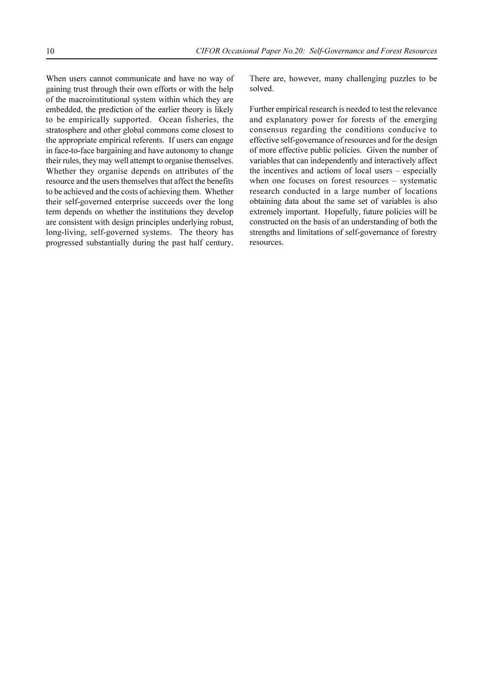When users cannot communicate and have no way of gaining trust through their own efforts or with the help of the macroinstitutional system within which they are embedded, the prediction of the earlier theory is likely to be empirically supported. Ocean fisheries, the stratosphere and other global commons come closest to the appropriate empirical referents. If users can engage in face-to-face bargaining and have autonomy to change their rules, they may well attempt to organise themselves. Whether they organise depends on attributes of the resource and the users themselves that affect the benefits to be achieved and the costs of achieving them. Whether their self-governed enterprise succeeds over the long term depends on whether the institutions they develop are consistent with design principles underlying robust, long-living, self-governed systems. The theory has progressed substantially during the past half century.

There are, however, many challenging puzzles to be solved.

Further empirical research is needed to test the relevance and explanatory power for forests of the emerging consensus regarding the conditions conducive to effective self-governance of resources and for the design of more effective public policies. Given the number of variables that can independently and interactively affect the incentives and actions of local users  $-$  especially when one focuses on forest resources  $-$  systematic research conducted in a large number of locations obtaining data about the same set of variables is also extremely important. Hopefully, future policies will be constructed on the basis of an understanding of both the strengths and limitations of self-governance of forestry resources.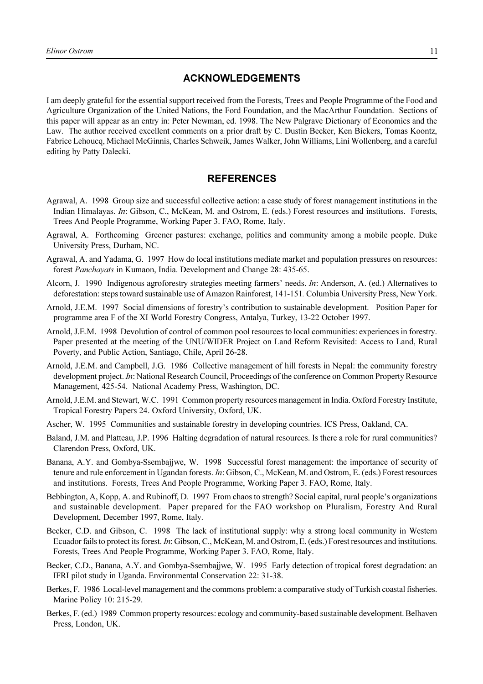### **ACKNOWLEDGEMENTS**

I am deeply grateful for the essential support received from the Forests, Trees and People Programme of the Food and Agriculture Organization of the United Nations, the Ford Foundation, and the MacArthur Foundation. Sections of this paper will appear as an entry in: Peter Newman, ed. 1998. The New Palgrave Dictionary of Economics and the Law. The author received excellent comments on a prior draft by C. Dustin Becker, Ken Bickers, Tomas Koontz, Fabrice Lehoucq, Michael McGinnis, Charles Schweik, James Walker, John Williams, Lini Wollenberg, and a careful editing by Patty Dalecki.

### **REFERENCES**

- Agrawal, A. 1998 Group size and successful collective action: a case study of forest management institutions in the Indian Himalayas. *In*: Gibson, C., McKean, M. and Ostrom, E. (eds.) Forest resources and institutions. Forests, Trees And People Programme, Working Paper 3. FAO, Rome, Italy.
- Agrawal, A. Forthcoming Greener pastures: exchange, politics and community among a mobile people. Duke University Press, Durham, NC.
- Agrawal, A. and Yadama, G. 1997 How do local institutions mediate market and population pressures on resources: forest *Panchayats* in Kumaon, India. Development and Change 28: 435-65.
- Alcorn, J. 1990 Indigenous agroforestry strategies meeting farmers' needs. *In*: Anderson, A. (ed.) Alternatives to deforestation: steps toward sustainable use of Amazon Rainforest, 141-151*.* Columbia University Press, New York.
- Arnold, J.E.M. 1997 Social dimensions of forestry's contribution to sustainable development. Position Paper for programme area F of the XI World Forestry Congress, Antalya, Turkey, 13-22 October 1997.
- Arnold, J.E.M. 1998 Devolution of control of common pool resources to local communities: experiences in forestry. Paper presented at the meeting of the UNU/WIDER Project on Land Reform Revisited: Access to Land, Rural Poverty, and Public Action, Santiago, Chile, April 26-28.
- Arnold, J.E.M. and Campbell, J.G. 1986 Collective management of hill forests in Nepal: the community forestry development project. *In*: National Research Council, Proceedings of the conference on Common Property Resource Management, 425-54. National Academy Press, Washington, DC.
- Arnold, J.E.M. and Stewart, W.C. 1991 Common property resources management in India. Oxford Forestry Institute, Tropical Forestry Papers 24. Oxford University, Oxford, UK.
- Ascher, W. 1995 Communities and sustainable forestry in developing countries. ICS Press, Oakland, CA.
- Baland, J.M. and Platteau, J.P. 1996 Halting degradation of natural resources. Is there a role for rural communities? Clarendon Press, Oxford, UK.
- Banana, A.Y. and Gombya-Ssembajjwe, W. 1998 Successful forest management: the importance of security of tenure and rule enforcement in Ugandan forests. *In*: Gibson, C., McKean, M. and Ostrom, E. (eds.) Forest resources and institutions. Forests, Trees And People Programme, Working Paper 3. FAO, Rome, Italy.
- Bebbington, A, Kopp, A. and Rubinoff, D. 1997 From chaos to strength? Social capital, rural people's organizations and sustainable development. Paper prepared for the FAO workshop on Pluralism, Forestry And Rural Development, December 1997, Rome, Italy.
- Becker, C.D. and Gibson, C. 1998 The lack of institutional supply: why a strong local community in Western Ecuador fails to protect its forest. *In*: Gibson, C., McKean, M. and Ostrom, E. (eds.) Forest resources and institutions. Forests, Trees And People Programme, Working Paper 3. FAO, Rome, Italy.
- Becker, C.D., Banana, A.Y. and Gombya-Ssembajjwe, W. 1995 Early detection of tropical forest degradation: an IFRI pilot study in Uganda. Environmental Conservation 22: 31-38.
- Berkes, F. 1986 Local-level management and the commons problem: a comparative study of Turkish coastal fisheries. Marine Policy 10: 215-29.
- Berkes, F. (ed.) 1989 Common property resources: ecology and community-based sustainable development. Belhaven Press, London, UK.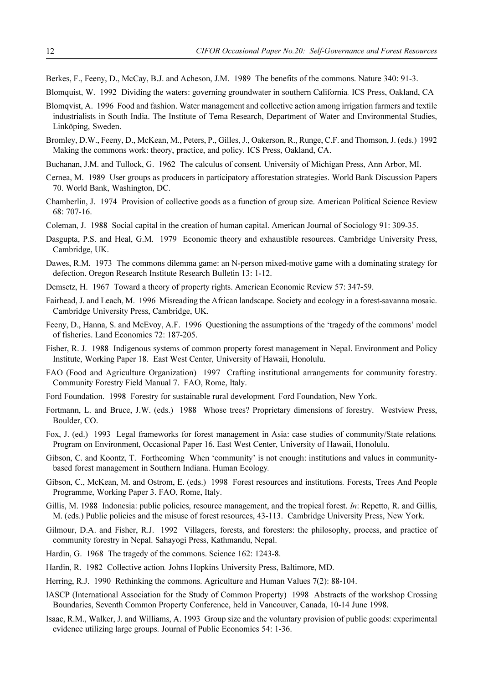- Berkes, F., Feeny, D., McCay, B.J. and Acheson, J.M. 1989 The benefits of the commons. Nature 340: 91-3.
- Blomquist, W. 1992 Dividing the waters: governing groundwater in southern California*.* ICS Press, Oakland, CA
- Blomqvist, A. 1996 Food and fashion. Water management and collective action among irrigation farmers and textile industrialists in South India. The Institute of Tema Research, Department of Water and Environmental Studies, Linköping, Sweden.
- Bromley, D.W., Feeny, D., McKean, M., Peters, P., Gilles, J., Oakerson, R., Runge, C.F. and Thomson, J. (eds.) 1992 Making the commons work: theory, practice, and policy*.* ICS Press, Oakland, CA.
- Buchanan, J.M. and Tullock, G. 1962 The calculus of consent*.* University of Michigan Press, Ann Arbor, MI.
- Cernea, M. 1989 User groups as producers in participatory afforestation strategies. World Bank Discussion Papers 70. World Bank, Washington, DC.
- Chamberlin, J. 1974 Provision of collective goods as a function of group size. American Political Science Review 68: 707-16.
- Coleman, J. 1988 Social capital in the creation of human capital. American Journal of Sociology 91: 309-35.
- Dasgupta, P.S. and Heal, G.M. 1979 Economic theory and exhaustible resources. Cambridge University Press, Cambridge, UK.
- Dawes, R.M. 1973 The commons dilemma game: an N-person mixed-motive game with a dominating strategy for defection. Oregon Research Institute Research Bulletin 13: 1-12.
- Demsetz, H. 1967 Toward a theory of property rights. American Economic Review 57: 347-59.
- Fairhead, J. and Leach, M. 1996 Misreading the African landscape. Society and ecology in a forest-savanna mosaic. Cambridge University Press, Cambridge, UK.
- Feeny, D., Hanna, S. and McEvoy, A.F. 1996 Questioning the assumptions of the 'tragedy of the commons' model of fisheries. Land Economics 72: 187-205.
- Fisher, R. J. 1988 Indigenous systems of common property forest management in Nepal. Environment and Policy Institute, Working Paper 18. East West Center, University of Hawaii, Honolulu.
- FAO (Food and Agriculture Organization) 1997 Crafting institutional arrangements for community forestry. Community Forestry Field Manual 7. FAO, Rome, Italy.
- Ford Foundation. 1998 Forestry for sustainable rural development*.* Ford Foundation, New York.
- Fortmann, L. and Bruce, J.W. (eds.) 1988 Whose trees? Proprietary dimensions of forestry. Westview Press, Boulder, CO.
- Fox, J. (ed.) 1993 Legal frameworks for forest management in Asia: case studies of community/State relations*.* Program on Environment, Occasional Paper 16. East West Center, University of Hawaii, Honolulu.
- Gibson, C. and Koontz, T. Forthcoming When 'community' is not enough: institutions and values in communitybased forest management in Southern Indiana. Human Ecology*.*
- Gibson, C., McKean, M. and Ostrom, E. (eds.) 1998 Forest resources and institutions*.* Forests, Trees And People Programme, Working Paper 3. FAO, Rome, Italy.
- Gillis, M. 1988 Indonesia: public policies, resource management, and the tropical forest. *In*: Repetto, R. and Gillis, M. (eds.) Public policies and the misuse of forest resources, 43-113. Cambridge University Press, New York.
- Gilmour, D.A. and Fisher, R.J. 1992 Villagers, forests, and foresters: the philosophy, process, and practice of community forestry in Nepal. Sahayogi Press, Kathmandu, Nepal.
- Hardin, G. 1968 The tragedy of the commons. Science 162: 1243-8.
- Hardin, R. 1982 Collective action*.* Johns Hopkins University Press, Baltimore, MD.
- Herring, R.J. 1990 Rethinking the commons. Agriculture and Human Values 7(2): 88-104.
- IASCP (International Association for the Study of Common Property) 1998 Abstracts of the workshop Crossing Boundaries, Seventh Common Property Conference, held in Vancouver, Canada, 10-14 June 1998.
- Isaac, R.M., Walker, J. and Williams, A. 1993 Group size and the voluntary provision of public goods: experimental evidence utilizing large groups. Journal of Public Economics 54: 1-36.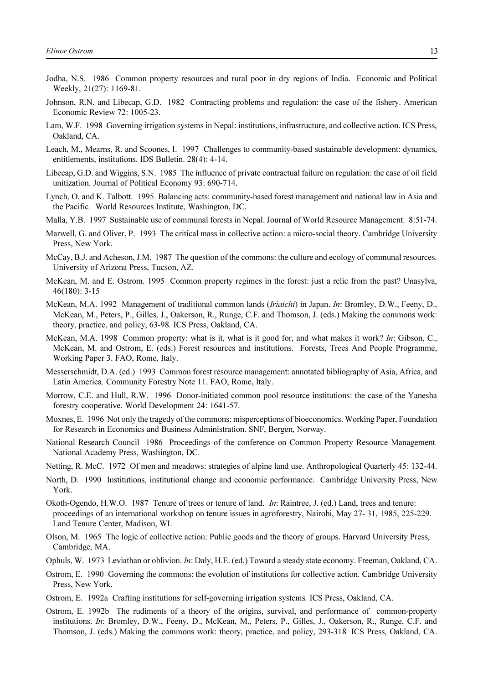- Jodha, N.S. 1986 Common property resources and rural poor in dry regions of India. Economic and Political Weekly, 21(27): 1169-81.
- Johnson, R.N. and Libecap, G.D. 1982 Contracting problems and regulation: the case of the fishery. American Economic Review 72: 1005-23.
- Lam, W.F. 1998 Governing irrigation systems in Nepal: institutions, infrastructure, and collective action. ICS Press, Oakland, CA.
- Leach, M., Mearns, R. and Scoones, I. 1997 Challenges to community-based sustainable development: dynamics, entitlements, institutions. IDS Bulletin. 28(4): 4-14.
- Libecap, G.D. and Wiggins, S.N. 1985 The influence of private contractual failure on regulation: the case of oil field unitization. Journal of Political Economy 93: 690-714.
- Lynch, O. and K. Talbott. 1995 Balancing acts: community-based forest management and national law in Asia and the Pacific*.* World Resources Institute, Washington, DC.
- Malla, Y.B. 1997 Sustainable use of communal forests in Nepal. Journal of World Resource Management. 8:51-74.
- Marwell, G. and Oliver, P. 1993 The critical mass in collective action: a micro-social theory. Cambridge University Press, New York.
- McCay, B.J. and Acheson, J.M. 1987 The question of the commons: the culture and ecology of communal resources*.* University of Arizona Press, Tucson, AZ.
- McKean, M. and E. Ostrom. 1995 Common property regimes in the forest: just a relic from the past? Unasylva, 46(180): 3-15
- McKean, M.A. 1992 Management of traditional common lands (*Iriaichi*) in Japan. *In*: Bromley, D.W., Feeny, D., McKean, M., Peters, P., Gilles, J., Oakerson, R., Runge, C.F. and Thomson, J. (eds.) Making the commons work: theory, practice, and policy, 63-98*.* ICS Press, Oakland, CA.
- McKean, M.A. 1998 Common property: what is it, what is it good for, and what makes it work? *In*: Gibson, C., McKean, M. and Ostrom, E. (eds.) Forest resources and institutions. Forests, Trees And People Programme, Working Paper 3. FAO, Rome, Italy.
- Messerschmidt, D.A. (ed.) 1993 Common forest resource management: annotated bibliography of Asia, Africa, and Latin America*.* Community Forestry Note 11. FAO, Rome, Italy.
- Morrow, C.E. and Hull, R.W. 1996 Donor-initiated common pool resource institutions: the case of the Yanesha forestry cooperative. World Development 24: 1641-57.
- Moxnes, E. 1996 Not only the tragedy of the commons: misperceptions of bioeconomics. Working Paper, Foundation for Research in Economics and Business Administration. SNF, Bergen, Norway.
- National Research Council 1986 Proceedings of the conference on Common Property Resource Management*.* National Academy Press, Washington, DC.
- Netting, R. McC. 1972 Of men and meadows: strategies of alpine land use. Anthropological Quarterly 45: 132-44.
- North, D. 1990 Institutions, institutional change and economic performance. Cambridge University Press, New York.
- Okoth-Ogendo, H.W.O. 1987 Tenure of trees or tenure of land. *In*: Raintree, J. (ed.) Land, trees and tenure: proceedings of an international workshop on tenure issues in agroforestry, Nairobi, May 27- 31, 1985, 225-229. Land Tenure Center, Madison, WI.
- Olson, M. 1965 The logic of collective action: Public goods and the theory of groups. Harvard University Press, Cambridge, MA.
- Ophuls, W. 1973 Leviathan or oblivion. *In*: Daly, H.E. (ed.) Toward a steady state economy. Freeman, Oakland, CA.
- Ostrom, E. 1990 Governing the commons: the evolution of institutions for collective action*.* Cambridge University Press, New York.
- Ostrom, E. 1992a Crafting institutions for self-governing irrigation systems*.* ICS Press, Oakland, CA.
- Ostrom, E. 1992b The rudiments of a theory of the origins, survival, and performance of common-property institutions. *In*: Bromley, D.W., Feeny, D., McKean, M., Peters, P., Gilles, J., Oakerson, R., Runge, C.F. and Thomson, J. (eds.) Making the commons work: theory, practice, and policy, 293-318*.* ICS Press, Oakland, CA.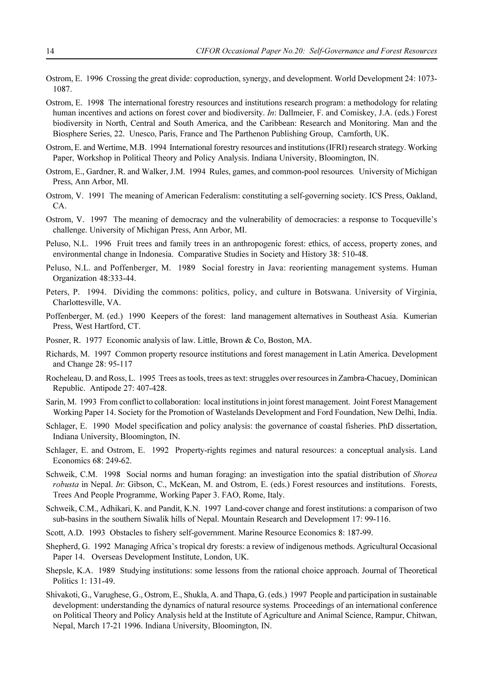- Ostrom, E. 1996 Crossing the great divide: coproduction, synergy, and development. World Development 24: 1073- 1087.
- Ostrom, E. 1998 The international forestry resources and institutions research program: a methodology for relating human incentives and actions on forest cover and biodiversity. *In*: Dallmeier, F. and Comiskey, J.A. (eds.) Forest biodiversity in North, Central and South America, and the Caribbean: Research and Monitoring. Man and the Biosphere Series, 22. Unesco, Paris, France and The Parthenon Publishing Group, Carnforth, UK.
- Ostrom, E. and Wertime, M.B. 1994 International forestry resources and institutions (IFRI) research strategy. Working Paper, Workshop in Political Theory and Policy Analysis. Indiana University, Bloomington, IN.
- Ostrom, E., Gardner, R. and Walker, J.M. 1994 Rules, games, and common-pool resources*.* University of Michigan Press, Ann Arbor, MI.
- Ostrom, V. 1991 The meaning of American Federalism: constituting a self-governing society. ICS Press, Oakland, CA.
- Ostrom, V. 1997 The meaning of democracy and the vulnerability of democracies: a response to Tocqueville's challenge. University of Michigan Press, Ann Arbor, MI.
- Peluso, N.L. 1996 Fruit trees and family trees in an anthropogenic forest: ethics, of access, property zones, and environmental change in Indonesia. Comparative Studies in Society and History 38: 510-48.
- Peluso, N.L. and Poffenberger, M. 1989 Social forestry in Java: reorienting management systems. Human Organization 48:333-44.
- Peters, P. 1994. Dividing the commons: politics, policy, and culture in Botswana. University of Virginia, Charlottesville, VA.
- Poffenberger, M. (ed.) 1990 Keepers of the forest: land management alternatives in Southeast Asia. Kumerian Press, West Hartford, CT.
- Posner, R. 1977 Economic analysis of law. Little, Brown & Co, Boston, MA.
- Richards, M. 1997 Common property resource institutions and forest management in Latin America. Development and Change 28: 95-117
- Rocheleau, D. and Ross, L. 1995 Trees as tools, trees as text: struggles over resources in Zambra-Chacuey, Dominican Republic. Antipode 27: 407-428.
- Sarin, M. 1993 From conflict to collaboration: local institutions in joint forest management. Joint Forest Management Working Paper 14. Society for the Promotion of Wastelands Development and Ford Foundation, New Delhi, India.
- Schlager, E. 1990 Model specification and policy analysis: the governance of coastal fisheries. PhD dissertation, Indiana University, Bloomington, IN.
- Schlager, E. and Ostrom, E. 1992 Property-rights regimes and natural resources: a conceptual analysis. Land Economics 68: 249-62.
- Schweik, C.M. 1998 Social norms and human foraging: an investigation into the spatial distribution of *Shorea robusta* in Nepal. *In*: Gibson, C., McKean, M. and Ostrom, E. (eds.) Forest resources and institutions. Forests, Trees And People Programme, Working Paper 3. FAO, Rome, Italy.
- Schweik, C.M., Adhikari, K. and Pandit, K.N. 1997 Land-cover change and forest institutions: a comparison of two sub-basins in the southern Siwalik hills of Nepal. Mountain Research and Development 17: 99-116.
- Scott, A.D. 1993 Obstacles to fishery self-government. Marine Resource Economics 8: 187-99.
- Shepherd, G. 1992 Managing Africa's tropical dry forests: a review of indigenous methods. Agricultural Occasional Paper 14. Overseas Development Institute, London, UK.
- Shepsle, K.A. 1989 Studying institutions: some lessons from the rational choice approach. Journal of Theoretical Politics 1: 131-49.
- Shivakoti, G., Varughese, G., Ostrom, E., Shukla, A. and Thapa, G. (eds.) 1997 People and participation in sustainable development: understanding the dynamics of natural resource systems*.* Proceedings of an international conference on Political Theory and Policy Analysis held at the Institute of Agriculture and Animal Science, Rampur, Chitwan, Nepal, March 17-21 1996. Indiana University, Bloomington, IN.